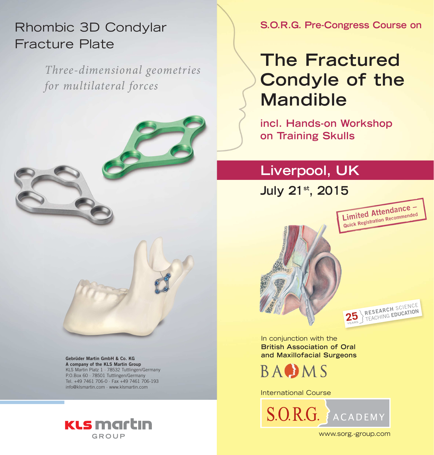# Rhombic 3D Condylar Fracture Plate

*Three-dimensional geometries for multilateral forces*



**A company of the KLS Martin Group**  KLS Martin Platz 1 · 78532 Tuttlingen/Germany P.O.Box 60 · 78501 Tuttlingen/Germany Tel. +49 7461 706-0 · Fax +49 7461 706-193 info@klsmartin.com · www.klsmartin.com



**S.O.R.G. Pre-Congress Course on**

# **The Fractured Condyle of the Mandible**

**incl. Hands-on Workshop on Training Skulls**

### **Liverpool, UK**

**July 21st, 2015** 



In conjunction with the **British Association of Oral and Maxillofacial Surgeons Gebrüder Martin GmbH & Co. KG**



International Course



www.sorg.-group.com